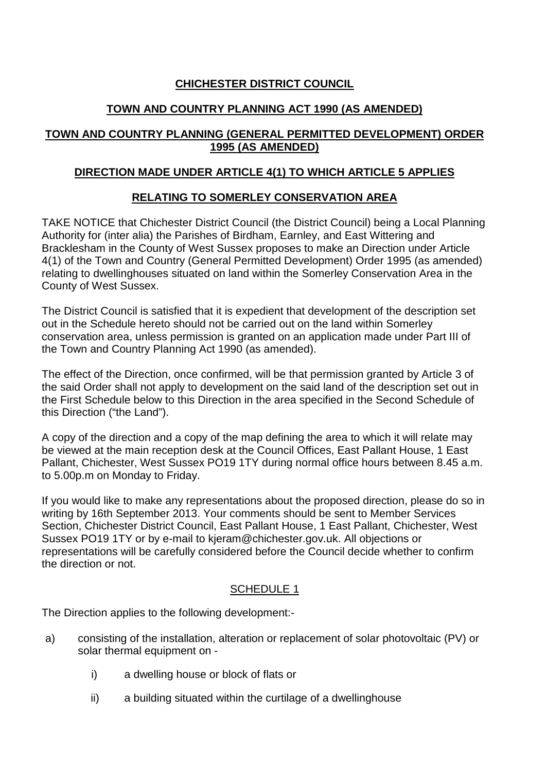# **CHICHESTER DISTRICT COUNCIL**

# **TOWN AND COUNTRY PLANNING ACT 1990 (AS AMENDED)**

## **TOWN AND COUNTRY PLANNING (GENERAL PERMITTED DEVELOPMENT) ORDER 1995 (AS AMENDED)**

## **DIRECTION MADE UNDER ARTICLE 4(1) TO WHICH ARTICLE 5 APPLIES**

# **RELATING TO SOMERLEY CONSERVATION AREA**

TAKE NOTICE that Chichester District Council (the District Council) being a Local Planning Authority for (inter alia) the Parishes of Birdham, Earnley, and East Wittering and Bracklesham in the County of West Sussex proposes to make an Direction under Article 4(1) of the Town and Country (General Permitted Development) Order 1995 (as amended) relating to dwellinghouses situated on land within the Somerley Conservation Area in the County of West Sussex.

The District Council is satisfied that it is expedient that development of the description set out in the Schedule hereto should not be carried out on the land within Somerley conservation area, unless permission is granted on an application made under Part III of the Town and Country Planning Act 1990 (as amended).

The effect of the Direction, once confirmed, will be that permission granted by Article 3 of the said Order shall not apply to development on the said land of the description set out in the First Schedule below to this Direction in the area specified in the Second Schedule of this Direction ("the Land").

A copy of the direction and a copy of the map defining the area to which it will relate may be viewed at the main reception desk at the Council Offices, East Pallant House, 1 East Pallant, Chichester, West Sussex PO19 1TY during normal office hours between 8.45 a.m. to 5.00p.m on Monday to Friday.

If you would like to make any representations about the proposed direction, please do so in writing by 16th September 2013. Your comments should be sent to Member Services Section, Chichester District Council, East Pallant House, 1 East Pallant, Chichester, West Sussex PO19 1TY or by e-mail to kjeram@chichester.gov.uk. All objections or representations will be carefully considered before the Council decide whether to confirm the direction or not.

# SCHEDULE 1

The Direction applies to the following development:-

- a) consisting of the installation, alteration or replacement of solar photovoltaic (PV) or solar thermal equipment on
	- i) a dwelling house or block of flats or
	- ii) a building situated within the curtilage of a dwellinghouse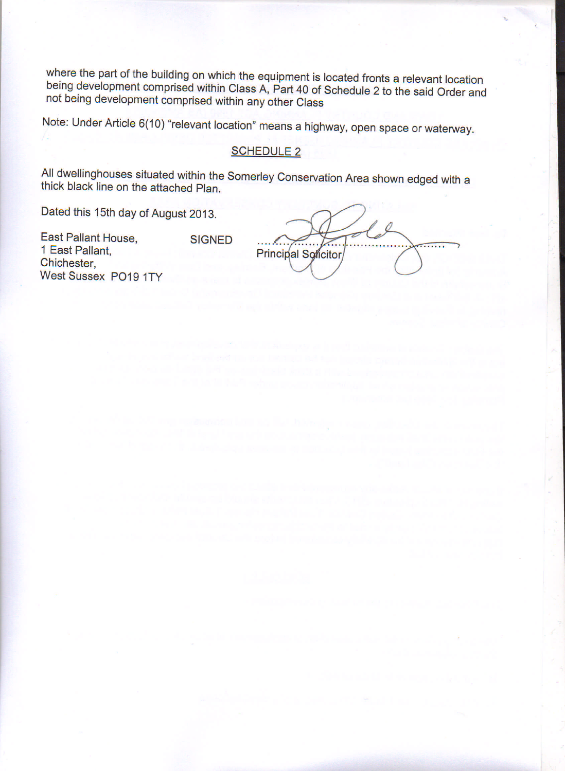where the part of the building on which the equipment is located fronts a relevant location being development comprised within Class A, Part 40 of Schedule 2 to the said Order and not being development comprised within any other Class

Note: Under Article 6(10) "relevant location" means a highway, open space or waterway.

### SCHEDULE 2

All dwellinghouses situated within the Somerley Conservation Area shown edged with a thick black line on the attached Plan.

Dated this 15th day of August 2013.

East Pallant House, 1 East Pallant, Chichester, West Sussex P019 1TY **SIGNED** 

Principal Solicitor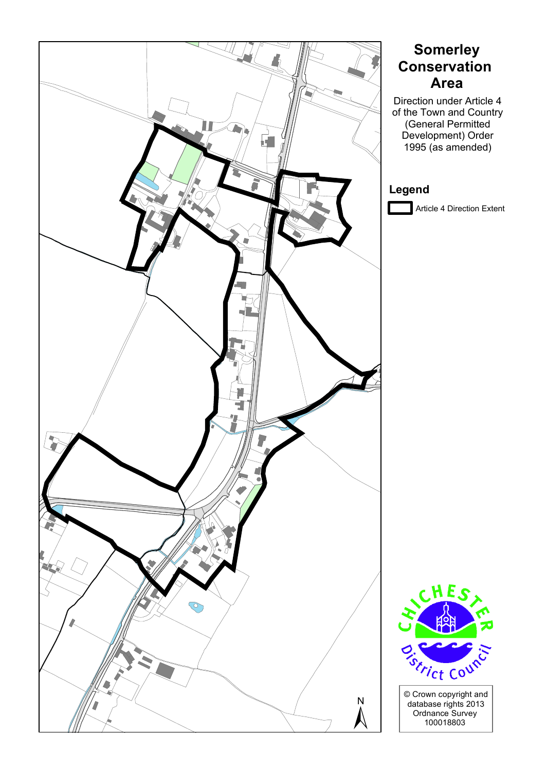

# **Somerley Conservation Area**

Direction under Article 4 of the Town and Country (General Permitted Development) Order 1995 (as amended)

# **Legend**

Article 4 Direction Extent



© Crown copyright and database rights 2013 N<br>
Ordnance Survey<br>
Ordnance Survey<br>
100018803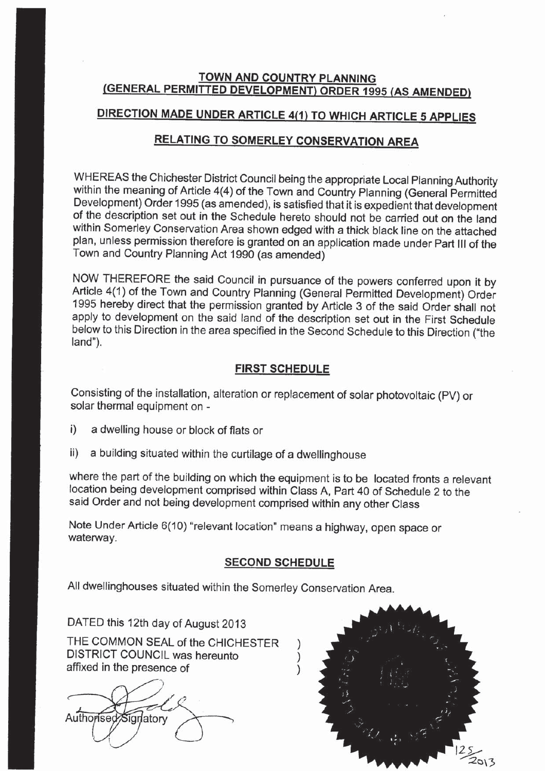### **TOWN AND COUNTRY PLANNING** (GENERAL PERMITTED DEVELOPMENT) ORDER 1995 (AS AMENDED)

# DIRECTION MADE UNDER ARTICLE 4(1) TO WHICH ARTICLE 5 APPLIES

## RELATING TO SOMERLEY CONSERVATION AREA

WHEREAS the Chichester District Council being the appropriate Local Planning Authority within the meaning of Article 4(4) of the Town and Country Planning (General Permitted Development) Order 1995 (as amended), is satisfied that it is expedient that development of the description set out in the Schedule hereto should not be carried out on the land within Somerley Conservation Area shown edged with a thick black line on the attached plan, unless permission therefore is granted on an application made under Part III of the Town and Country Planning Act 1990 (as amended)

NOW THEREFORE the said Council in pursuance of the powers conferred upon it by Article 4(1) of the Town and Country Planning (General Permitted Development) Order 1995 hereby direct that the permission granted by Article 3 of the said Order shall not apply to development on the said land of the description set out in the First Schedule below to this Direction in the area specified in the Second Schedule to this Direction ("the land").

### **FIRST SCHEDULE**

Consisting of the installation, alteration or replacement of solar photovoltaic (PV) or solar thermal equipment on -

- $i)$ a dwelling house or block of flats or
- a building situated within the curtilage of a dwellinghouse  $\mathbf{ii}$

where the part of the building on which the equipment is to be located fronts a relevant location being development comprised within Class A, Part 40 of Schedule 2 to the said Order and not being development comprised within any other Class

Note Under Article 6(10) "relevant location" means a highway, open space or waterway.

#### **SECOND SCHEDULE**

All dwellinghouses situated within the Somerley Conservation Area.

DATED this 12th day of August 2013

THE COMMON SEAL of the CHICHESTER DISTRICT COUNCIL was hereunto affixed in the presence of

Authorised Signatory